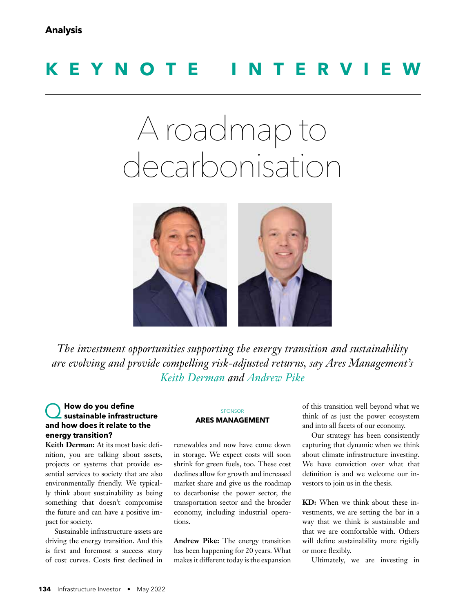# **KEYNOTE INTERVIEW**

# A roadmap to decarbonisation



*The investment opportunities supporting the energy transition and sustainability are evolving and provide compelling risk-adjusted returns, say Ares Management's Keith Derman and Andrew Pike*

#### **How do you define sustainable infrastructure and how does it relate to the energy transition?**

Keith Derman: At its most basic definition, you are talking about assets, projects or systems that provide essential services to society that are also environmentally friendly. We typically think about sustainability as being something that doesn't compromise the future and can have a positive impact for society.

Sustainable infrastructure assets are driving the energy transition. And this is first and foremost a success story of cost curves. Costs first declined in

#### SPONSOR **ARES MANAGEMENT**

renewables and now have come down in storage. We expect costs will soon shrink for green fuels, too. These cost declines allow for growth and increased market share and give us the roadmap to decarbonise the power sector, the transportation sector and the broader economy, including industrial operations.

**Andrew Pike:** The energy transition has been happening for 20 years. What makes it different today is the expansion of this transition well beyond what we think of as just the power ecosystem and into all facets of our economy.

Our strategy has been consistently capturing that dynamic when we think about climate infrastructure investing. We have conviction over what that definition is and we welcome our investors to join us in the thesis.

**KD:** When we think about these investments, we are setting the bar in a way that we think is sustainable and that we are comfortable with. Others will define sustainability more rigidly or more flexibly.

Ultimately, we are investing in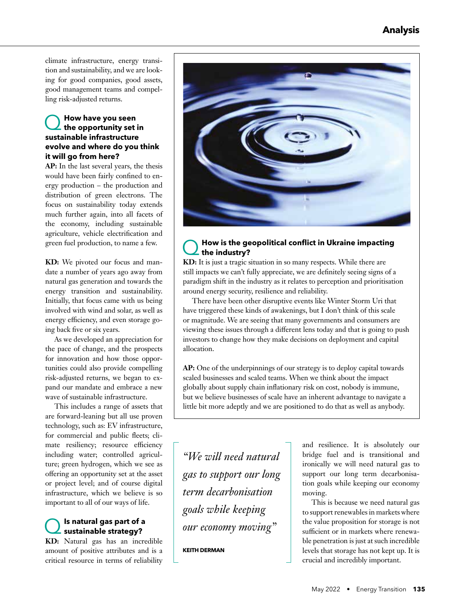climate infrastructure, energy transition and sustainability, and we are looking for good companies, good assets, good management teams and compelling risk-adjusted returns.

## Q **How have you seen the opportunity set in sustainable infrastructure evolve and where do you think it will go from here?**

**AP:** In the last several years, the thesis would have been fairly confined to energy production – the production and distribution of green electrons. The focus on sustainability today extends much further again, into all facets of the economy, including sustainable agriculture, vehicle electrification and green fuel production, to name a few.

**KD:** We pivoted our focus and mandate a number of years ago away from natural gas generation and towards the energy transition and sustainability. Initially, that focus came with us being involved with wind and solar, as well as energy efficiency, and even storage going back five or six years.

As we developed an appreciation for the pace of change, and the prospects for innovation and how those opportunities could also provide compelling risk-adjusted returns, we began to expand our mandate and embrace a new wave of sustainable infrastructure.

This includes a range of assets that are forward-leaning but all use proven technology, such as: EV infrastructure, for commercial and public fleets; climate resiliency; resource efficiency including water; controlled agriculture; green hydrogen, which we see as offering an opportunity set at the asset or project level; and of course digital infrastructure, which we believe is so important to all of our ways of life.

### Q **Is natural gas part of a sustainable strategy?**

**KD:** Natural gas has an incredible amount of positive attributes and is a critical resource in terms of reliability



#### Q **How is the geopolitical conflict in Ukraine impacting the industry?**

**KD:** It is just a tragic situation in so many respects. While there are still impacts we can't fully appreciate, we are definitely seeing signs of a paradigm shift in the industry as it relates to perception and prioritisation around energy security, resilience and reliability.

There have been other disruptive events like Winter Storm Uri that have triggered these kinds of awakenings, but I don't think of this scale or magnitude. We are seeing that many governments and consumers are viewing these issues through a different lens today and that is going to push investors to change how they make decisions on deployment and capital allocation.

**AP:** One of the underpinnings of our strategy is to deploy capital towards scaled businesses and scaled teams. When we think about the impact globally about supply chain inflationary risk on cost, nobody is immune, but we believe businesses of scale have an inherent advantage to navigate a little bit more adeptly and we are positioned to do that as well as anybody.

*"We will need natural gas to support our long term decarbonisation goals while keeping our economy moving"* 

**KEITH DERMAN**

and resilience. It is absolutely our bridge fuel and is transitional and ironically we will need natural gas to support our long term decarbonisation goals while keeping our economy moving.

This is because we need natural gas to support renewables in markets where the value proposition for storage is not sufficient or in markets where renewable penetration is just at such incredible levels that storage has not kept up. It is crucial and incredibly important.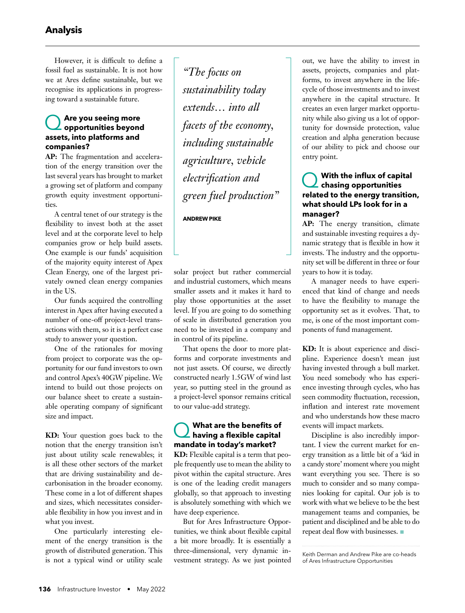However, it is difficult to define a fossil fuel as sustainable. It is not how we at Ares define sustainable, but we recognise its applications in progressing toward a sustainable future.

## Q **Are you seeing more opportunities beyond assets, into platforms and companies?**

**AP:** The fragmentation and acceleration of the energy transition over the last several years has brought to market a growing set of platform and company growth equity investment opportunities.

A central tenet of our strategy is the flexibility to invest both at the asset level and at the corporate level to help companies grow or help build assets. One example is our funds' acquisition of the majority equity interest of Apex Clean Energy, one of the largest privately owned clean energy companies in the US.

Our funds acquired the controlling interest in Apex after having executed a number of one-off project-level transactions with them, so it is a perfect case study to answer your question.

One of the rationales for moving from project to corporate was the opportunity for our fund investors to own and control Apex's 40GW pipeline. We intend to build out those projects on our balance sheet to create a sustainable operating company of significant size and impact.

**KD:** Your question goes back to the notion that the energy transition isn't just about utility scale renewables; it is all these other sectors of the market that are driving sustainability and decarbonisation in the broader economy. These come in a lot of different shapes and sizes, which necessitates considerable flexibility in how you invest and in what you invest.

One particularly interesting element of the energy transition is the growth of distributed generation. This is not a typical wind or utility scale

*"The focus on sustainability today extends… into all facets of the economy, including sustainable agriculture, vehicle electrification and green fuel production"* 

**ANDREW PIKE**

solar project but rather commercial and industrial customers, which means smaller assets and it makes it hard to play those opportunities at the asset level. If you are going to do something of scale in distributed generation you need to be invested in a company and in control of its pipeline.

That opens the door to more platforms and corporate investments and not just assets. Of course, we directly constructed nearly 1.5GW of wind last year, so putting steel in the ground as a project-level sponsor remains critical to our value-add strategy.

# Q **What are the benefits of having a flexible capital mandate in today's market?**

**KD:** Flexible capital is a term that people frequently use to mean the ability to pivot within the capital structure. Ares is one of the leading credit managers globally, so that approach to investing is absolutely something with which we have deep experience.

But for Ares Infrastructure Opportunities, we think about flexible capital a bit more broadly. It is essentially a three-dimensional, very dynamic investment strategy. As we just pointed out, we have the ability to invest in assets, projects, companies and platforms, to invest anywhere in the lifecycle of those investments and to invest anywhere in the capital structure. It creates an even larger market opportunity while also giving us a lot of opportunity for downside protection, value creation and alpha generation because of our ability to pick and choose our entry point.

## Q **With the influx of capital chasing opportunities related to the energy transition, what should LPs look for in a manager?**

**AP:** The energy transition, climate and sustainable investing requires a dynamic strategy that is flexible in how it invests. The industry and the opportunity set will be different in three or four years to how it is today.

A manager needs to have experienced that kind of change and needs to have the flexibility to manage the opportunity set as it evolves. That, to me, is one of the most important components of fund management.

**KD:** It is about experience and discipline. Experience doesn't mean just having invested through a bull market. You need somebody who has experience investing through cycles, who has seen commodity fluctuation, recession, inflation and interest rate movement and who understands how these macro events will impact markets.

Discipline is also incredibly important. I view the current market for energy transition as a little bit of a 'kid in a candy store' moment where you might want everything you see. There is so much to consider and so many companies looking for capital. Our job is to work with what we believe to be the best management teams and companies, be patient and disciplined and be able to do repeat deal flow with businesses.

Keith Derman and Andrew Pike are co-heads of Ares Infrastructure Opportunities